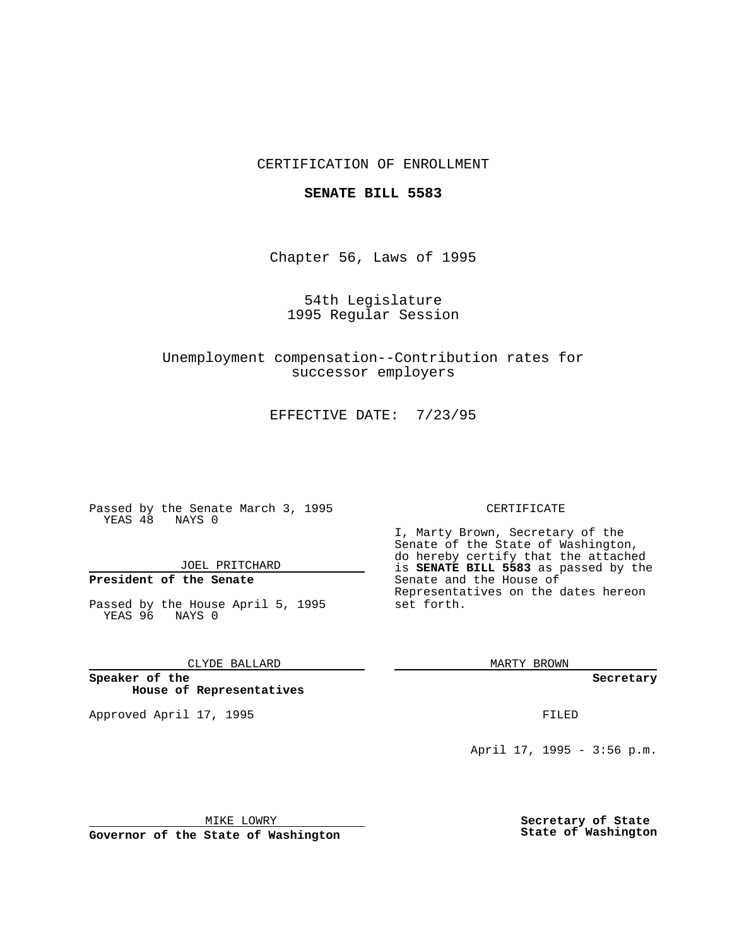## CERTIFICATION OF ENROLLMENT

### **SENATE BILL 5583**

Chapter 56, Laws of 1995

54th Legislature 1995 Regular Session

Unemployment compensation--Contribution rates for successor employers

EFFECTIVE DATE: 7/23/95

Passed by the Senate March 3, 1995 YEAS 48 NAYS 0

JOEL PRITCHARD

# **President of the Senate**

Passed by the House April 5, 1995 YEAS 96 NAYS 0

CLYDE BALLARD

**Speaker of the House of Representatives**

Approved April 17, 1995 **FILED** 

#### CERTIFICATE

I, Marty Brown, Secretary of the Senate of the State of Washington, do hereby certify that the attached is **SENATE BILL 5583** as passed by the Senate and the House of Representatives on the dates hereon set forth.

MARTY BROWN

**Secretary**

April 17, 1995 - 3:56 p.m.

MIKE LOWRY

**Governor of the State of Washington**

**Secretary of State State of Washington**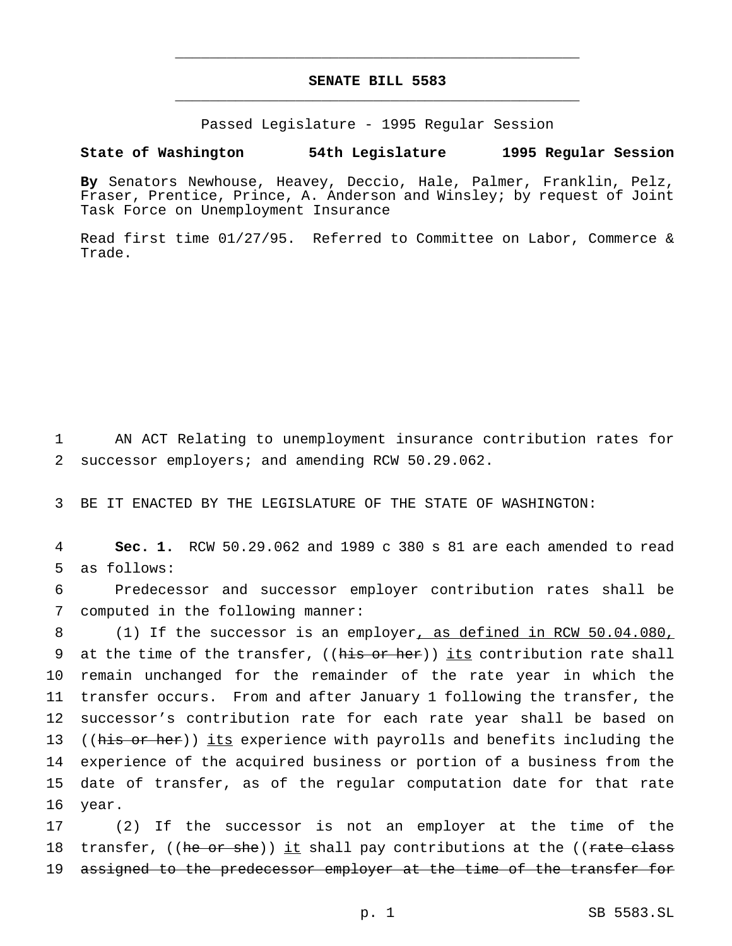## **SENATE BILL 5583** \_\_\_\_\_\_\_\_\_\_\_\_\_\_\_\_\_\_\_\_\_\_\_\_\_\_\_\_\_\_\_\_\_\_\_\_\_\_\_\_\_\_\_\_\_\_\_

\_\_\_\_\_\_\_\_\_\_\_\_\_\_\_\_\_\_\_\_\_\_\_\_\_\_\_\_\_\_\_\_\_\_\_\_\_\_\_\_\_\_\_\_\_\_\_

Passed Legislature - 1995 Regular Session

### **State of Washington 54th Legislature 1995 Regular Session**

**By** Senators Newhouse, Heavey, Deccio, Hale, Palmer, Franklin, Pelz, Fraser, Prentice, Prince, A. Anderson and Winsley; by request of Joint Task Force on Unemployment Insurance

Read first time 01/27/95. Referred to Committee on Labor, Commerce & Trade.

1 AN ACT Relating to unemployment insurance contribution rates for 2 successor employers; and amending RCW 50.29.062.

3 BE IT ENACTED BY THE LEGISLATURE OF THE STATE OF WASHINGTON:

4 **Sec. 1.** RCW 50.29.062 and 1989 c 380 s 81 are each amended to read 5 as follows:

6 Predecessor and successor employer contribution rates shall be 7 computed in the following manner:

 (1) If the successor is an employer, as defined in RCW 50.04.080, 9 at the time of the transfer, ((his or her)) its contribution rate shall remain unchanged for the remainder of the rate year in which the transfer occurs. From and after January 1 following the transfer, the successor's contribution rate for each rate year shall be based on 13 ((his or her)) its experience with payrolls and benefits including the experience of the acquired business or portion of a business from the date of transfer, as of the regular computation date for that rate 16 year.

17 (2) If the successor is not an employer at the time of the 18 transfer, ((he or she)) it shall pay contributions at the ((rate class 19 assigned to the predecessor employer at the time of the transfer for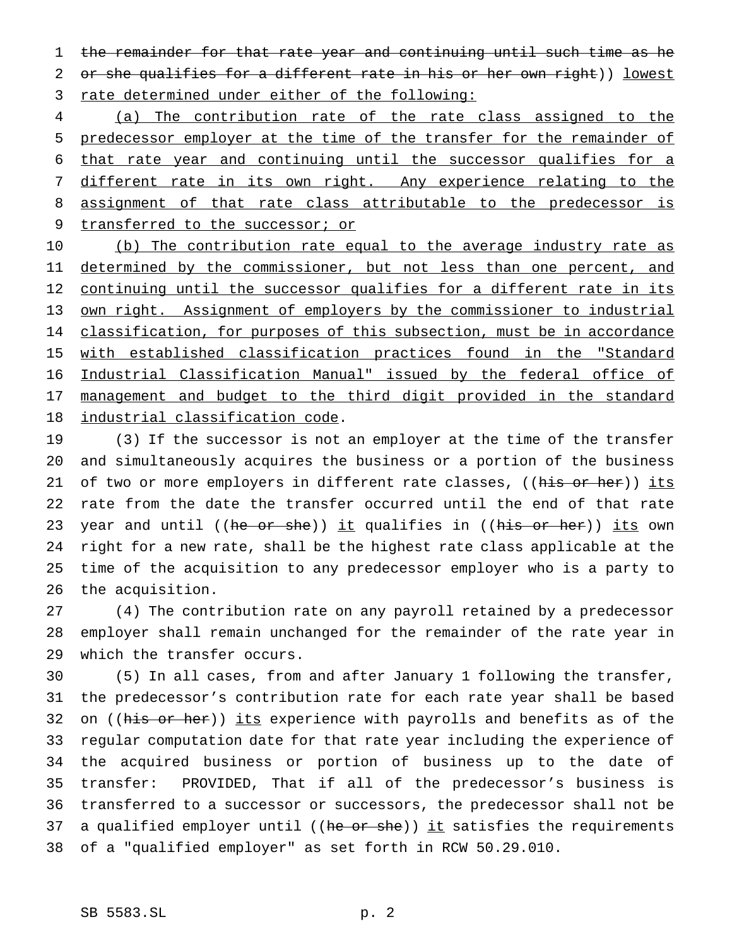the remainder for that rate year and continuing until such time as he 2 or she qualifies for a different rate in his or her own right)) lowest 3 rate determined under either of the following:

 (a) The contribution rate of the rate class assigned to the predecessor employer at the time of the transfer for the remainder of that rate year and continuing until the successor qualifies for a different rate in its own right. Any experience relating to the 8 assignment of that rate class attributable to the predecessor is 9 transferred to the successor; or

10 (b) The contribution rate equal to the average industry rate as 11 determined by the commissioner, but not less than one percent, and 12 continuing until the successor qualifies for a different rate in its own right. Assignment of employers by the commissioner to industrial 14 classification, for purposes of this subsection, must be in accordance 15 with established classification practices found in the "Standard Industrial Classification Manual" issued by the federal office of 17 management and budget to the third digit provided in the standard industrial classification code.

 (3) If the successor is not an employer at the time of the transfer and simultaneously acquires the business or a portion of the business 21 of two or more employers in different rate classes, ((his or her)) its rate from the date the transfer occurred until the end of that rate 23 year and until ((he or she)) it qualifies in ((his or her)) its own right for a new rate, shall be the highest rate class applicable at the time of the acquisition to any predecessor employer who is a party to the acquisition.

 (4) The contribution rate on any payroll retained by a predecessor employer shall remain unchanged for the remainder of the rate year in which the transfer occurs.

 (5) In all cases, from and after January 1 following the transfer, the predecessor's contribution rate for each rate year shall be based 32 on ((his or her)) its experience with payrolls and benefits as of the regular computation date for that rate year including the experience of the acquired business or portion of business up to the date of transfer: PROVIDED, That if all of the predecessor's business is transferred to a successor or successors, the predecessor shall not be 37 a qualified employer until (( $he$  or  $she$ )) it satisfies the requirements of a "qualified employer" as set forth in RCW 50.29.010.